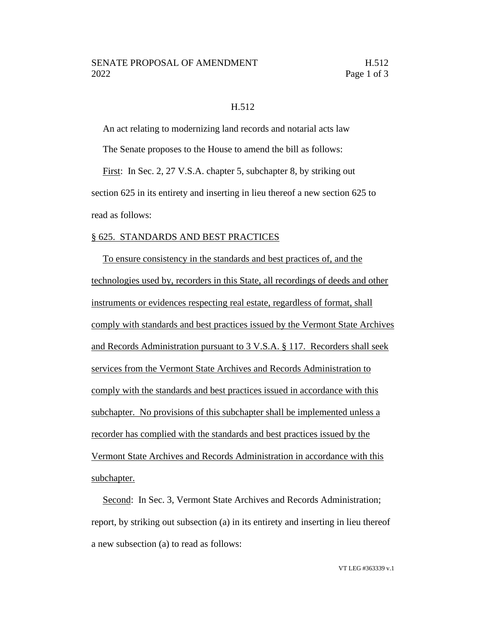## H.512

An act relating to modernizing land records and notarial acts law

The Senate proposes to the House to amend the bill as follows:

First: In Sec. 2, 27 V.S.A. chapter 5, subchapter 8, by striking out section 625 in its entirety and inserting in lieu thereof a new section 625 to read as follows:

## § 625. STANDARDS AND BEST PRACTICES

To ensure consistency in the standards and best practices of, and the technologies used by, recorders in this State, all recordings of deeds and other instruments or evidences respecting real estate, regardless of format, shall comply with standards and best practices issued by the Vermont State Archives and Records Administration pursuant to 3 V.S.A. § 117. Recorders shall seek services from the Vermont State Archives and Records Administration to comply with the standards and best practices issued in accordance with this subchapter. No provisions of this subchapter shall be implemented unless a recorder has complied with the standards and best practices issued by the Vermont State Archives and Records Administration in accordance with this subchapter.

Second: In Sec. 3, Vermont State Archives and Records Administration; report, by striking out subsection (a) in its entirety and inserting in lieu thereof a new subsection (a) to read as follows: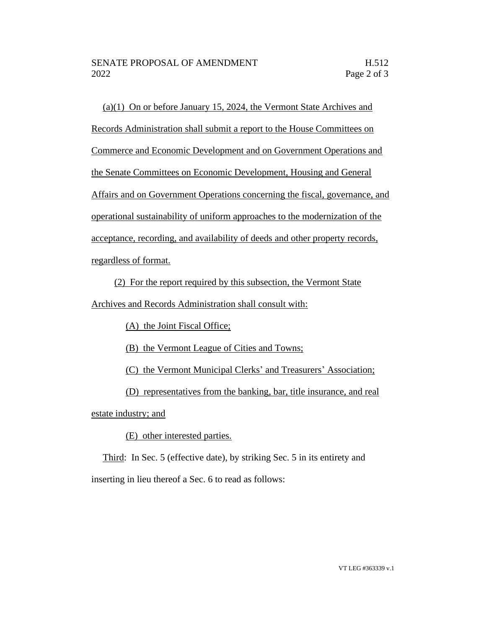(a)(1) On or before January 15, 2024, the Vermont State Archives and Records Administration shall submit a report to the House Committees on Commerce and Economic Development and on Government Operations and the Senate Committees on Economic Development, Housing and General Affairs and on Government Operations concerning the fiscal, governance, and operational sustainability of uniform approaches to the modernization of the acceptance, recording, and availability of deeds and other property records, regardless of format.

(2) For the report required by this subsection, the Vermont State

Archives and Records Administration shall consult with:

(A) the Joint Fiscal Office;

(B) the Vermont League of Cities and Towns;

(C) the Vermont Municipal Clerks' and Treasurers' Association;

(D) representatives from the banking, bar, title insurance, and real

estate industry; and

(E) other interested parties.

Third: In Sec. 5 (effective date), by striking Sec. 5 in its entirety and inserting in lieu thereof a Sec. 6 to read as follows: